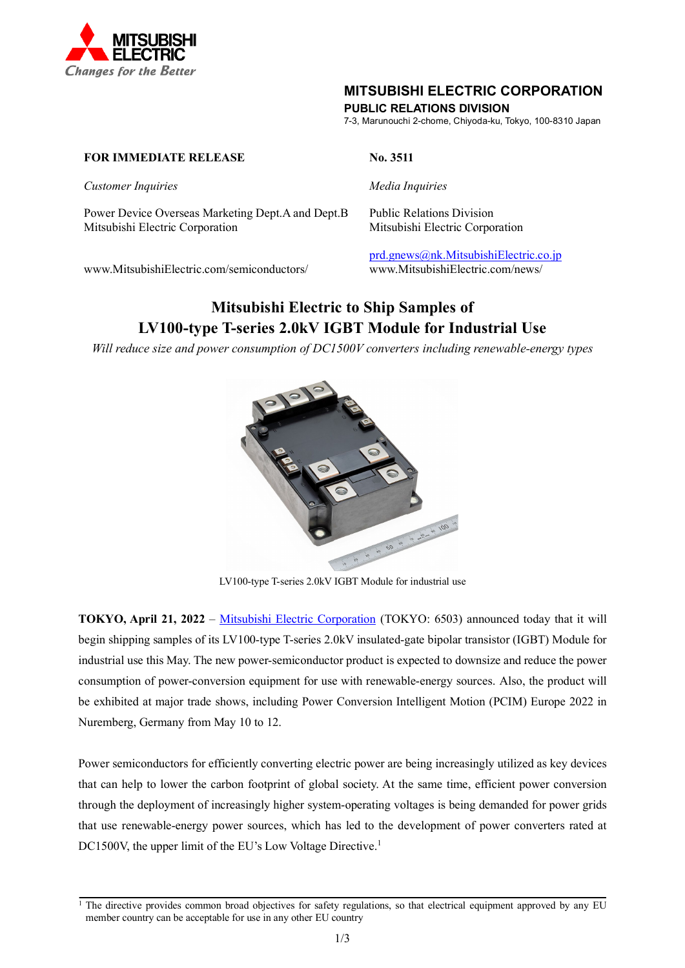

### **MITSUBISHI ELECTRIC CORPORATION**

**PUBLIC RELATIONS DIVISION**

7-3, Marunouchi 2-chome, Chiyoda-ku, Tokyo, 100-8310 Japan

#### **FOR IMMEDIATE RELEASE** No. 3511

*Customer Inquiries Media Inquiries*

Power Device Overseas Marketing Dept.A and Dept.B Public Relations Division Mitsubishi Electric Corporation Mitsubishi Electric Corporation

www.MitsubishiElectric.com/semiconductors/ www.MitsubishiElectric.com/news/

# [prd.gnews@nk.MitsubishiElectric.co.jp](mailto:prd.gnews@nk.MitsubishiElectric.co.jp)

## **Mitsubishi Electric to Ship Samples of LV100-type T-series 2.0kV IGBT Module for Industrial Use**

*Will reduce size and power consumption of DC1500V converters including renewable-energy types*



LV100-type T-series 2.0kV IGBT Module for industrial use

**TOKYO, April 21, 2022** – [Mitsubishi Electric Corporation](https://www.mitsubishielectric.com/) (TOKYO: 6503) announced today that it will begin shipping samples of its LV100-type T-series 2.0kV insulated-gate bipolar transistor (IGBT) Module for industrial use this May. The new power-semiconductor product is expected to downsize and reduce the power consumption of power-conversion equipment for use with renewable-energy sources. Also, the product will be exhibited at major trade shows, including Power Conversion Intelligent Motion (PCIM) Europe 2022 in Nuremberg, Germany from May 10 to 12.

Power semiconductors for efficiently converting electric power are being increasingly utilized as key devices that can help to lower the carbon footprint of global society. At the same time, efficient power conversion through the deployment of increasingly higher system-operating voltages is being demanded for power grids that use renewable-energy power sources, which has led to the development of power converters rated at DC1500V, the upper limit of the EU's Low Voltage Directive.<sup>1</sup>

<sup>&</sup>lt;sup>1</sup> The directive provides common broad objectives for safety regulations, so that electrical equipment approved by any EU member country can be acceptable for use in any other EU country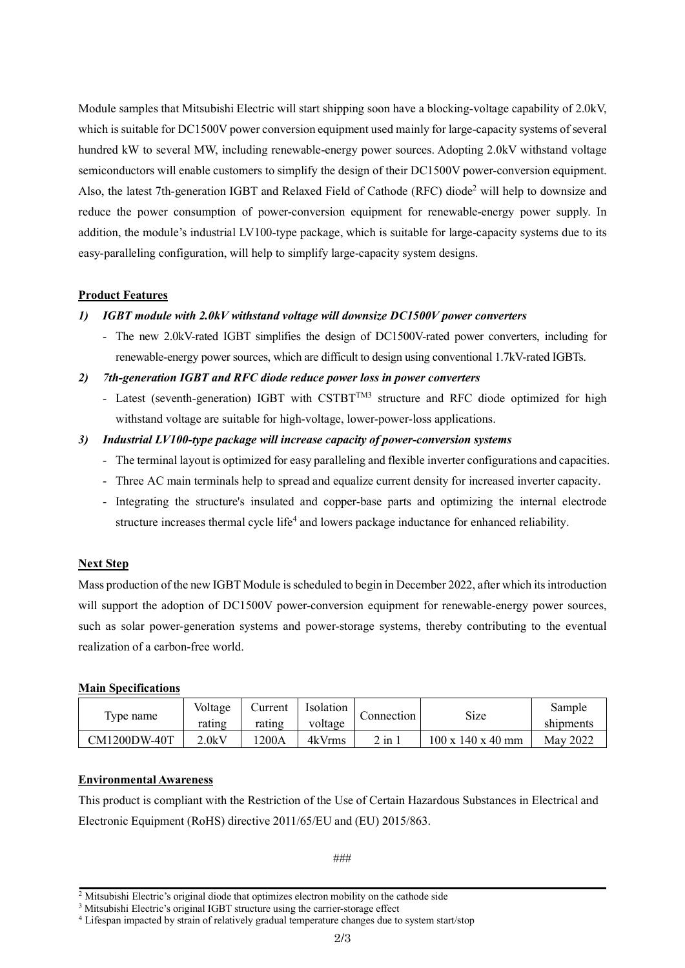Module samples that Mitsubishi Electric will start shipping soon have a blocking-voltage capability of 2.0kV, which is suitable for DC1500V power conversion equipment used mainly for large-capacity systems of several hundred kW to several MW, including renewable-energy power sources. Adopting 2.0kV withstand voltage semiconductors will enable customers to simplify the design of their DC1500V power-conversion equipment. Also, the latest 7th-generation IGBT and Relaxed Field of Cathode (RFC) diode2 will help to downsize and reduce the power consumption of power-conversion equipment for renewable-energy power supply. In addition, the module's industrial LV100-type package, which is suitable for large-capacity systems due to its easy-paralleling configuration, will help to simplify large-capacity system designs.

#### **Product Features**

#### *1) IGBT module with 2.0kV withstand voltage will downsize DC1500V power converters*

- The new 2.0kV-rated IGBT simplifies the design of DC1500V-rated power converters, including for renewable-energy power sources, which are difficult to design using conventional 1.7kV-rated IGBTs.

#### *2) 7th-generation IGBT and RFC diode reduce power loss in power converters*

- Latest (seventh-generation) IGBT with CSTBT<sup>TM3</sup> structure and RFC diode optimized for high withstand voltage are suitable for high-voltage, lower-power-loss applications.

#### *3) Industrial LV100-type package will increase capacity of power-conversion systems*

- The terminal layout is optimized for easy paralleling and flexible inverter configurations and capacities.
- Three AC main terminals help to spread and equalize current density for increased inverter capacity.
- Integrating the structure's insulated and copper-base parts and optimizing the internal electrode structure increases thermal cycle life<sup>4</sup> and lowers package inductance for enhanced reliability.

#### **Next Step**

Mass production of the new IGBT Module is scheduled to begin in December 2022, after which its introduction will support the adoption of DC1500V power-conversion equipment for renewable-energy power sources, such as solar power-generation systems and power-storage systems, thereby contributing to the eventual realization of a carbon-free world.

#### **Main Specifications**

| Type name    | Voltage<br>rating | Current<br>rating | Isolation<br>voltage | Connection            | Size                          | Sample<br>shipments |
|--------------|-------------------|-------------------|----------------------|-----------------------|-------------------------------|---------------------|
| CM1200DW-40T | 2.0kV             | 200A              | 4kVrms               | $2$ in $\overline{a}$ | $100 \times 140 \times 40$ mm | May 2022            |

#### **Environmental Awareness**

This product is compliant with the Restriction of the Use of Certain Hazardous Substances in Electrical and Electronic Equipment (RoHS) directive 2011/65/EU and (EU) 2015/863.

###

<sup>&</sup>lt;sup>2</sup> Mitsubishi Electric's original diode that optimizes electron mobility on the cathode side

<sup>&</sup>lt;sup>3</sup> Mitsubishi Electric's original IGBT structure using the carrier-storage effect

<sup>4</sup> Lifespan impacted by strain of relatively gradual temperature changes due to system start/stop